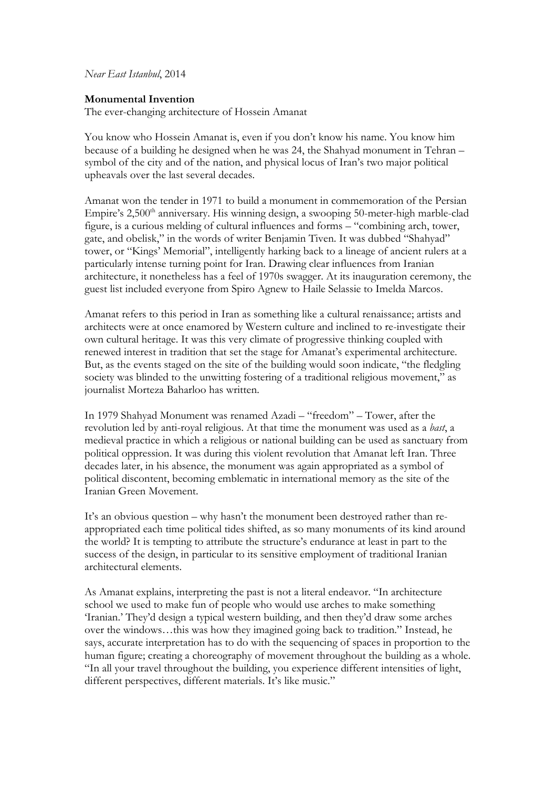*Near East Istanbul*, 2014

## **Monumental Invention**

The ever-changing architecture of Hossein Amanat

You know who Hossein Amanat is, even if you don't know his name. You know him because of a building he designed when he was 24, the Shahyad monument in Tehran – symbol of the city and of the nation, and physical locus of Iran's two major political upheavals over the last several decades.

Amanat won the tender in 1971 to build a monument in commemoration of the Persian Empire's 2,500<sup>th</sup> anniversary. His winning design, a swooping 50-meter-high marble-clad figure, is a curious melding of cultural influences and forms – "combining arch, tower, gate, and obelisk," in the words of writer Benjamin Tiven. It was dubbed "Shahyad" tower, or "Kings' Memorial", intelligently harking back to a lineage of ancient rulers at a particularly intense turning point for Iran. Drawing clear influences from Iranian architecture, it nonetheless has a feel of 1970s swagger. At its inauguration ceremony, the guest list included everyone from Spiro Agnew to Haile Selassie to Imelda Marcos.

Amanat refers to this period in Iran as something like a cultural renaissance; artists and architects were at once enamored by Western culture and inclined to re-investigate their own cultural heritage. It was this very climate of progressive thinking coupled with renewed interest in tradition that set the stage for Amanat's experimental architecture. But, as the events staged on the site of the building would soon indicate, "the fledgling society was blinded to the unwitting fostering of a traditional religious movement," as journalist Morteza Baharloo has written.

In 1979 Shahyad Monument was renamed Azadi – "freedom" – Tower, after the revolution led by anti-royal religious. At that time the monument was used as a *bast*, a medieval practice in which a religious or national building can be used as sanctuary from political oppression. It was during this violent revolution that Amanat left Iran. Three decades later, in his absence, the monument was again appropriated as a symbol of political discontent, becoming emblematic in international memory as the site of the Iranian Green Movement.

It's an obvious question – why hasn't the monument been destroyed rather than reappropriated each time political tides shifted, as so many monuments of its kind around the world? It is tempting to attribute the structure's endurance at least in part to the success of the design, in particular to its sensitive employment of traditional Iranian architectural elements.

As Amanat explains, interpreting the past is not a literal endeavor. "In architecture school we used to make fun of people who would use arches to make something 'Iranian.' They'd design a typical western building, and then they'd draw some arches over the windows…this was how they imagined going back to tradition." Instead, he says, accurate interpretation has to do with the sequencing of spaces in proportion to the human figure; creating a choreography of movement throughout the building as a whole. "In all your travel throughout the building, you experience different intensities of light, different perspectives, different materials. It's like music."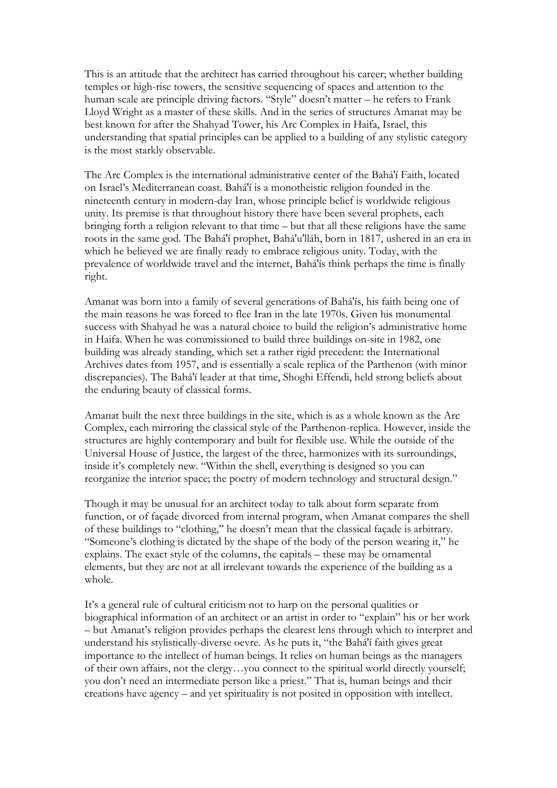This is an attitude that the architect has carried throughout his career; whether building temples or high-rise towers, the sensitive sequencing of spaces and attention to the human scale are principle driving factors. "Style" doesn't matter – he refers to Frank Lloyd Wright as a master of these skills. And in the series of structures Amanat may be best known for after the Shahyad Tower, his Arc Complex in Haifa, Israel, this understanding that spatial principles can be applied to a building of any stylistic category is the most starkly observable.

The Arc Complex is the international administrative center of the Bahá'í Faith, located on Israel's Mediterranean coast. Bahá'í is a monotheistic religion founded in the nineteenth century in modern-day Iran, whose principle belief is worldwide religious unity. Its premise is that throughout history there have been several prophets, each bringing forth a religion relevant to that time – but that all these religions have the same roots in the same god. The Bahá'í prophet, Bahá'u'lláh, born in 1817, ushered in an era in which he believed we are finally ready to embrace religious unity. Today, with the prevalence of worldwide travel and the internet, Bahá'ís think perhaps the time is finally right.

Amanat was born into a family of several generations of Bahá'ís, his faith being one of the main reasons he was forced to flee Iran in the late 1970s. Given his monumental success with Shahyad he was a natural choice to build the religion's administrative home in Haifa. When he was commissioned to build three buildings on-site in 1982, one building was already standing, which set a rather rigid precedent: the International Archives dates from 1957, and is essentially a scale replica of the Parthenon (with minor discrepancies). The Bahá'í leader at that time, Shoghi Effendi, held strong beliefs about the enduring beauty of classical forms.

Amanat built the next three buildings in the site, which is as a whole known as the Arc Complex, each mirroring the classical style of the Parthenon-replica. However, inside the structures are highly contemporary and built for flexible use. While the outside of the Universal House of Justice, the largest of the three, harmonizes with its surroundings, inside it's completely new. "Within the shell, everything is designed so you can reorganize the interior space; the poetry of modern technology and structural design."

Though it may be unusual for an architect today to talk about form separate from function, or of façade divorced from internal program, when Amanat compares the shell of these buildings to "clothing," he doesn't mean that the classical façade is arbitrary. "Someone's clothing is dictated by the shape of the body of the person wearing it," he explains. The exact style of the columns, the capitals – these may be ornamental elements, but they are not at all irrelevant towards the experience of the building as a whole.

It's a general rule of cultural criticism not to harp on the personal qualities or biographical information of an architect or an artist in order to "explain" his or her work – but Amanat's religion provides perhaps the clearest lens through which to interpret and understand his stylistically-diverse oevre. As he puts it, "the Bahá'í faith gives great importance to the intellect of human beings. It relies on human beings as the managers of their own affairs, not the clergy…you connect to the spiritual world directly yourself; you don't need an intermediate person like a priest." That is, human beings and their creations have agency – and yet spirituality is not posited in opposition with intellect.